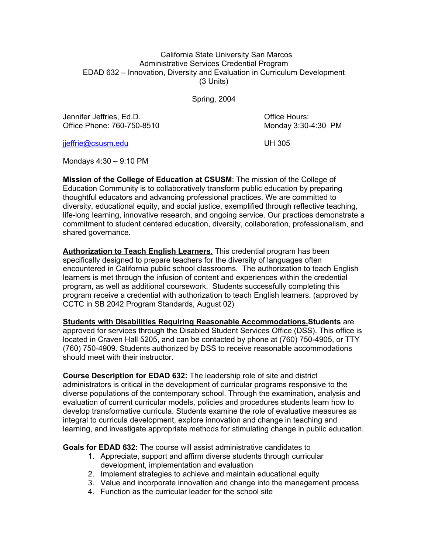#### California State University San Marcos Administrative Services Credential Program EDAD 632 – Innovation, Diversity and Evaluation in Curriculum Development (3 Units)

Spring, 2004

Jennifer Jeffries, Ed.D. Charles and Charles and Charles Charles and Charles Charles Charles and Charles and Charles and Charles and Charles and Charles and Charles and Charles and Charles and Charles and Charles and Charl Office Phone: 760-750-8510 Monday 3:30-4:30 PM

jjeffrie@csusm.edu UH 305

Mondays 4:30 – 9:10 PM

**Mission of the College of Education at CSUSM**: The mission of the College of Education Community is to collaboratively transform public education by preparing thoughtful educators and advancing professional practices. We are committed to diversity, educational equity, and social justice, exemplified through reflective teaching, life-long learning, innovative research, and ongoing service. Our practices demonstrate a commitment to student centered education, diversity, collaboration, professionalism, and shared governance.

**Authorization to Teach English Learners**. This credential program has been specifically designed to prepare teachers for the diversity of languages often encountered in California public school classrooms. The authorization to teach English learners is met through the infusion of content and experiences within the credential program, as well as additional coursework. Students successfully completing this program receive a credential with authorization to teach English learners. (approved by CCTC in SB 2042 Program Standards, August 02)

**Students with Disabilities Requiring Reasonable Accommodations.Students** are

approved for services through the Disabled Student Services Office (DSS). This office is located in Craven Hall 5205, and can be contacted by phone at (760) 750-4905, or TTY (760) 750-4909. Students authorized by DSS to receive reasonable accommodations should meet with their instructor.

**Course Description for EDAD 632:** The leadership role of site and district administrators is critical in the development of curricular programs responsive to the diverse populations of the contemporary school. Through the examination, analysis and evaluation of current curricular models, policies and procedures students learn how to develop transformative curricula. Students examine the role of evaluative measures as integral to curricula development, explore innovation and change in teaching and learning, and investigate appropriate methods for stimulating change in public education.

**Goals for EDAD 632:** The course will assist administrative candidates to

- 1. Appreciate, support and affirm diverse students through curricular development, implementation and evaluation
- 2. Implement strategies to achieve and maintain educational equity
- 3. Value and incorporate innovation and change into the management process
- 4. Function as the curricular leader for the school site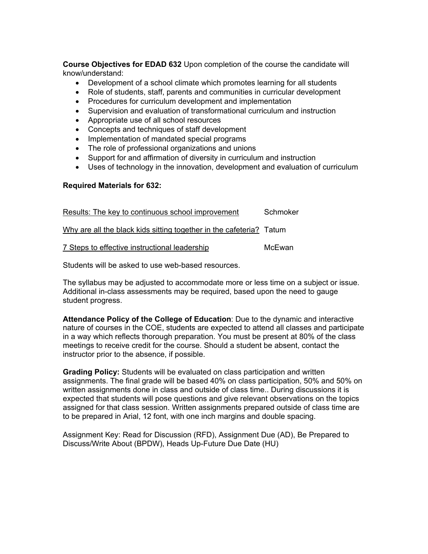**Course Objectives for EDAD 632** Upon completion of the course the candidate will know/understand:

- Development of a school climate which promotes learning for all students
- Role of students, staff, parents and communities in curricular development
- Procedures for curriculum development and implementation
- Supervision and evaluation of transformational curriculum and instruction
- Appropriate use of all school resources
- Concepts and techniques of staff development
- Implementation of mandated special programs
- The role of professional organizations and unions
- Support for and affirmation of diversity in curriculum and instruction
- Uses of technology in the innovation, development and evaluation of curriculum

#### **Required Materials for 632:**

| Results: The key to continuous school improvement                   | Schmoker |
|---------------------------------------------------------------------|----------|
| Why are all the black kids sitting together in the cafeteria? Tatum |          |
| 7 Steps to effective instructional leadership                       | McEwan   |

Students will be asked to use web-based resources.

The syllabus may be adjusted to accommodate more or less time on a subject or issue. Additional in-class assessments may be required, based upon the need to gauge student progress.

**Attendance Policy of the College of Education**: Due to the dynamic and interactive nature of courses in the COE, students are expected to attend all classes and participate in a way which reflects thorough preparation. You must be present at 80% of the class meetings to receive credit for the course. Should a student be absent, contact the instructor prior to the absence, if possible.

**Grading Policy:** Students will be evaluated on class participation and written assignments. The final grade will be based 40% on class participation, 50% and 50% on written assignments done in class and outside of class time.. During discussions it is expected that students will pose questions and give relevant observations on the topics assigned for that class session. Written assignments prepared outside of class time are to be prepared in Arial, 12 font, with one inch margins and double spacing.

Assignment Key: Read for Discussion (RFD), Assignment Due (AD), Be Prepared to Discuss/Write About (BPDW), Heads Up-Future Due Date (HU)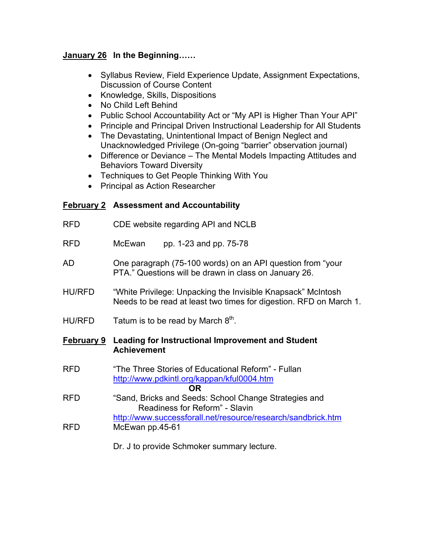## **January 26 In the Beginning……**

- Syllabus Review, Field Experience Update, Assignment Expectations, Discussion of Course Content
- Knowledge, Skills, Dispositions
- No Child Left Behind
- Public School Accountability Act or "My API is Higher Than Your API"
- Principle and Principal Driven Instructional Leadership for All Students
- The Devastating, Unintentional Impact of Benign Neglect and Unacknowledged Privilege (On-going "barrier" observation journal)
- Difference or Deviance The Mental Models Impacting Attitudes and Behaviors Toward Diversity
- Techniques to Get People Thinking With You
- Principal as Action Researcher

# **February 2 Assessment and Accountability**

RFD CDE website regarding API and NCLB RFD McEwan pp. 1-23 and pp. 75-78 AD One paragraph (75-100 words) on an API question from "your PTA." Questions will be drawn in class on January 26. HU/RFD "White Privilege: Unpacking the Invisible Knapsack" McIntosh Needs to be read at least two times for digestion. RFD on March 1. HU/RFD Tatum is to be read by March  $8<sup>th</sup>$ . **February 9 Leading for Instructional Improvement and Student Achievement**  RFD "The Three Stories of Educational Reform" - Fullan http://www.pdkintl.org/kappan/kful0004.htm **OR** RFD "Sand, Bricks and Seeds: School Change Strategies and Readiness for Reform" - Slavin http://www.successforall.net/resource/research/sandbrick.htm RFD McEwan pp.45-61 Dr. J to provide Schmoker summary lecture.